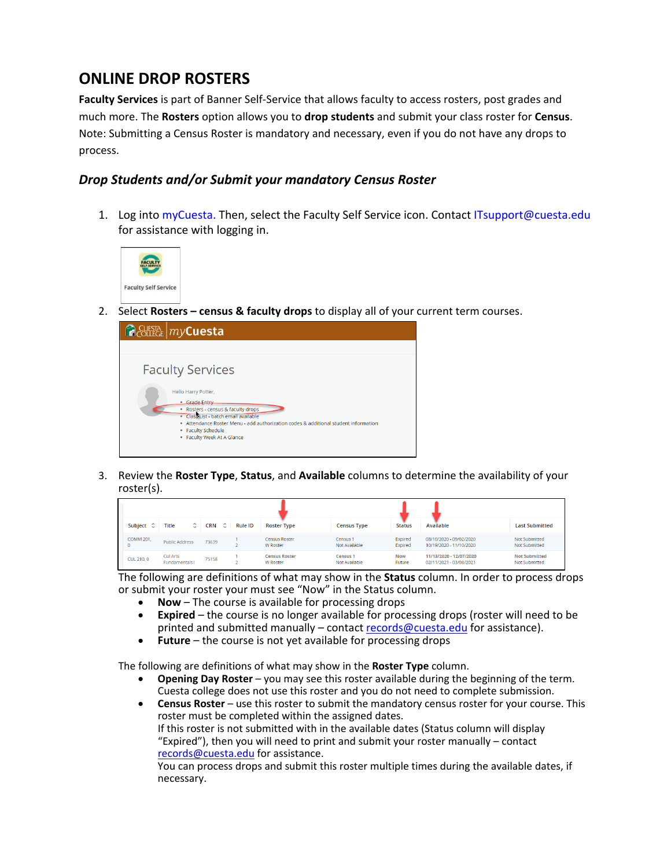## **ONLINE DROP ROSTERS**

**Faculty Services** is part of Banner Self-Service that allows faculty to access rosters, post grades and much more. The **Rosters** option allows you to **drop students** and submit your class roster for **Census**. Note: Submitting a Census Roster is mandatory and necessary, even if you do not have any drops to process.

## *Drop Students and/or Submit your mandatory Census Roster*

1. Log into myCuesta. Then, select the Faculty Self Service icon. Contact ITsupport@cuesta.edu for assistance with logging in.



2. Select **Rosters – census & faculty drops** to display all of your current term courses.



3. Review the **Roster Type**, **Status**, and **Available** columns to determine the availability of your roster(s).

| Subject $\hat{C}$ | $\hat{\mathcal{L}}$<br>Title             | $\hat{\phantom{a}}$<br><b>CRN</b> | <b>Rule ID</b> | <b>Roster Type</b>                      | <b>Census Type</b>               | <b>Status</b>        | Available                                          | <b>Last Submitted</b>                 |
|-------------------|------------------------------------------|-----------------------------------|----------------|-----------------------------------------|----------------------------------|----------------------|----------------------------------------------------|---------------------------------------|
| <b>COMM 201.</b>  | <b>Public Address</b>                    | 73639                             |                | <b>Census Roster</b><br><b>W</b> Roster | Census 1<br>Not Available        | Expired<br>Expired   | 08/10/2020 - 09/02/2020<br>10/19/2020 - 11/10/2020 | Not Submitted<br>Not Submitted        |
| <b>CUL 210, 0</b> | <b>Cul Arts</b><br><b>Fundamentals I</b> | 75158                             |                | <b>Census Roster</b><br><b>W</b> Roster | <b>Census 1</b><br>Not Available | <b>Now</b><br>Future | 11/13/2020 - 12/07/2020<br>02/11/2021 - 03/08/2021 | <b>Not Submitted</b><br>Not Submitted |

The following are definitions of what may show in the **Status** column. In order to process drops or submit your roster your must see "Now" in the Status column.

- **Now** The course is available for processing drops
- **Expired** the course is no longer available for processing drops (roster will need to be printed and submitted manually – contact [records@cuesta.edu](mailto:records@cuesta.edu) for assistance).
- **Future** the course is not yet available for processing drops

The following are definitions of what may show in the **Roster Type** column.

- **Opening Day Roster** you may see this roster available during the beginning of the term. Cuesta college does not use this roster and you do not need to complete submission.
- **Census Roster** use this roster to submit the mandatory census roster for your course. This roster must be completed within the assigned dates. If this roster is not submitted with in the available dates (Status column will display

"Expired"), then you will need to print and submit your roster manually – contact [records@cuesta.edu](mailto:records@cuesta.edu) for assistance.

You can process drops and submit this roster multiple times during the available dates, if necessary.